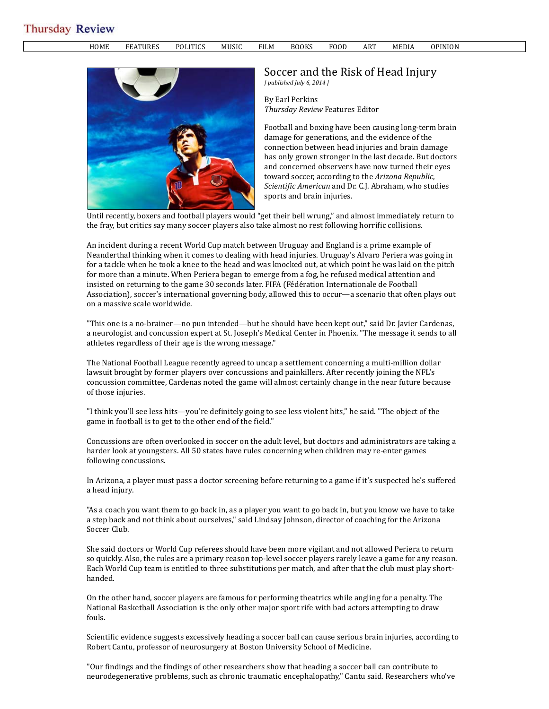## **Thursday Review**

HOME FEATURES POLITICS MUSIC FILM BOOKS FOOD ART MEDIA OPINION



## Soccer and the Risk of Head Injury *| published July 6, 2014 |*

By Earl Perkins *Thursday Review* Features Editor

Football and boxing have been causing long-term brain damage for generations, and the evidence of the connection between head injuries and brain damage has only grown stronger in the last decade. But doctors and concerned observers have now turned their eyes toward soccer, according to the *Arizona Republic*, *Scientific American* and Dr. C.J. Abraham, who studies sports and brain injuries.

Until recently, boxers and football players would "get their bell wrung," and almost immediately return to the fray, but critics say many soccer players also take almost no rest following horrific collisions.

An incident during a recent World Cup match between Uruguay and England is a prime example of Neanderthal thinking when it comes to dealing with head injuries. Uruguay's Alvaro Periera was going in for a tackle when he took a knee to the head and was knocked out, at which point he was laid on the pitch for more than a minute. When Periera began to emerge from a fog, he refused medical attention and insisted on returning to the game 30 seconds later. FIFA (Fédération Internationale de Football Association), soccer's international governing body, allowed this to occur—a scenario that often plays out on a massive scale worldwide.

"This one is a no-brainer—no pun intended—but he should have been kept out," said Dr. Javier Cardenas, a neurologist and concussion expert at St. Joseph's Medical Center in Phoenix. "The message it sends to all athletes regardless of their age is the wrong message."

The National Football League recently agreed to uncap a settlement concerning a multi-million dollar lawsuit brought by former players over concussions and painkillers. After recently joining the NFL's concussion committee, Cardenas noted the game will almost certainly change in the near future because of those injuries.

"I think you'll see less hits—you're definitely going to see less violent hits," he said. "The object of the game in football is to get to the other end of the field."

Concussions are often overlooked in soccer on the adult level, but doctors and administrators are taking a harder look at youngsters. All 50 states have rules concerning when children may re-enter games following concussions.

In Arizona, a player must pass a doctor screening before returning to a game if it's suspected he's suffered a head injury.

"As a coach you want them to go back in, as a player you want to go back in, but you know we have to take a step back and not think about ourselves," said Lindsay Johnson, director of coaching for the Arizona Soccer Club.

She said doctors or World Cup referees should have been more vigilant and not allowed Periera to return so quickly. Also, the rules are a primary reason top-level soccer players rarely leave a game for any reason. Each World Cup team is entitled to three substitutions per match, and after that the club must play shorthanded.

On the other hand, soccer players are famous for performing theatrics while angling for a penalty. The National Basketball Association is the only other major sport rife with bad actors attempting to draw fouls.

Scientific evidence suggests excessively heading a soccer ball can cause serious brain injuries, according to Robert Cantu, professor of neurosurgery at Boston University School of Medicine.

"Our findings and the findings of other researchers show that heading a soccer ball can contribute to neurodegenerative problems, such as chronic traumatic encephalopathy," Cantu said. Researchers who've